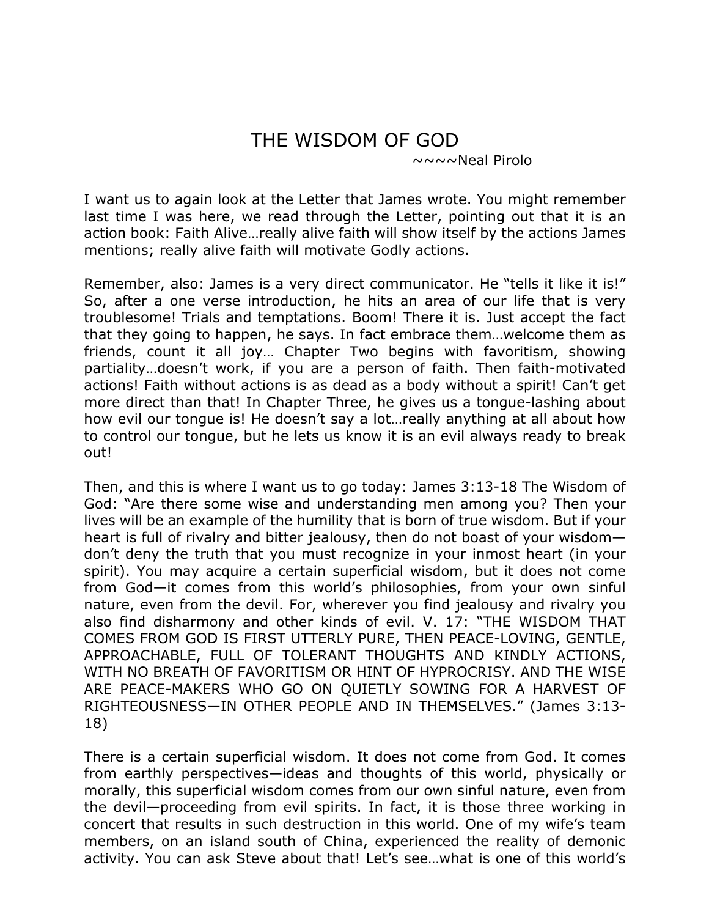## THE WISDOM OF GOD<br> $\sim \sim \sim \sim N$ eal Pirolo

I want us to again look at the Letter that James wrote. You might remember last time I was here, we read through the Letter, pointing out that it is an action book: Faith Alive…really alive faith will show itself by the actions James mentions; really alive faith will motivate Godly actions.

Remember, also: James is a very direct communicator. He "tells it like it is!" So, after a one verse introduction, he hits an area of our life that is very troublesome! Trials and temptations. Boom! There it is. Just accept the fact that they going to happen, he says. In fact embrace them…welcome them as friends, count it all joy… Chapter Two begins with favoritism, showing partiality…doesn't work, if you are a person of faith. Then faith-motivated actions! Faith without actions is as dead as a body without a spirit! Can't get more direct than that! In Chapter Three, he gives us a tongue-lashing about how evil our tongue is! He doesn't say a lot…really anything at all about how to control our tongue, but he lets us know it is an evil always ready to break out!

Then, and this is where I want us to go today: James 3:13-18 The Wisdom of God: "Are there some wise and understanding men among you? Then your lives will be an example of the humility that is born of true wisdom. But if your heart is full of rivalry and bitter jealousy, then do not boast of your wisdom don't deny the truth that you must recognize in your inmost heart (in your spirit). You may acquire a certain superficial wisdom, but it does not come from God—it comes from this world's philosophies, from your own sinful nature, even from the devil. For, wherever you find jealousy and rivalry you also find disharmony and other kinds of evil. V. 17: "THE WISDOM THAT COMES FROM GOD IS FIRST UTTERLY PURE, THEN PEACE-LOVING, GENTLE, APPROACHABLE, FULL OF TOLERANT THOUGHTS AND KINDLY ACTIONS, WITH NO BREATH OF FAVORITISM OR HINT OF HYPROCRISY. AND THE WISE ARE PEACE-MAKERS WHO GO ON QUIETLY SOWING FOR A HARVEST OF RIGHTEOUSNESS—IN OTHER PEOPLE AND IN THEMSELVES." (James 3:13- 18)

There is a certain superficial wisdom. It does not come from God. It comes from earthly perspectives—ideas and thoughts of this world, physically or morally, this superficial wisdom comes from our own sinful nature, even from the devil—proceeding from evil spirits. In fact, it is those three working in concert that results in such destruction in this world. One of my wife's team members, on an island south of China, experienced the reality of demonic activity. You can ask Steve about that! Let's see…what is one of this world's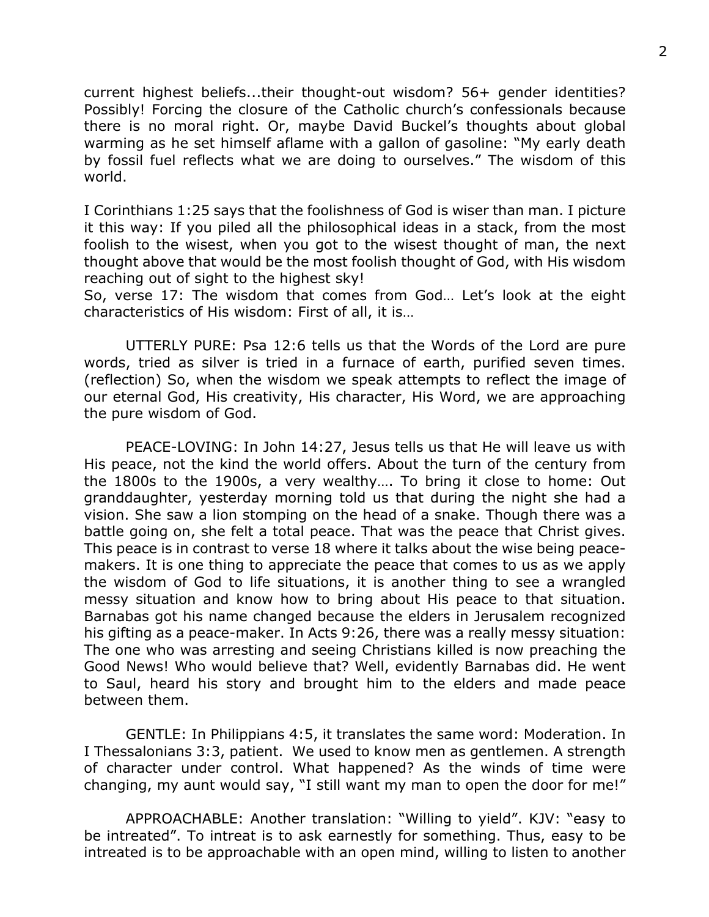current highest beliefs...their thought-out wisdom? 56+ gender identities? Possibly! Forcing the closure of the Catholic church's confessionals because there is no moral right. Or, maybe David Buckel's thoughts about global warming as he set himself aflame with a gallon of gasoline: "My early death by fossil fuel reflects what we are doing to ourselves." The wisdom of this world.

I Corinthians 1:25 says that the foolishness of God is wiser than man. I picture it this way: If you piled all the philosophical ideas in a stack, from the most foolish to the wisest, when you got to the wisest thought of man, the next thought above that would be the most foolish thought of God, with His wisdom reaching out of sight to the highest sky!

So, verse 17: The wisdom that comes from God… Let's look at the eight characteristics of His wisdom: First of all, it is…

UTTERLY PURE: Psa 12:6 tells us that the Words of the Lord are pure words, tried as silver is tried in a furnace of earth, purified seven times. (reflection) So, when the wisdom we speak attempts to reflect the image of our eternal God, His creativity, His character, His Word, we are approaching the pure wisdom of God.

PEACE-LOVING: In John 14:27, Jesus tells us that He will leave us with His peace, not the kind the world offers. About the turn of the century from the 1800s to the 1900s, a very wealthy…. To bring it close to home: Out granddaughter, yesterday morning told us that during the night she had a vision. She saw a lion stomping on the head of a snake. Though there was a battle going on, she felt a total peace. That was the peace that Christ gives. This peace is in contrast to verse 18 where it talks about the wise being peacemakers. It is one thing to appreciate the peace that comes to us as we apply the wisdom of God to life situations, it is another thing to see a wrangled messy situation and know how to bring about His peace to that situation. Barnabas got his name changed because the elders in Jerusalem recognized his gifting as a peace-maker. In Acts 9:26, there was a really messy situation: The one who was arresting and seeing Christians killed is now preaching the Good News! Who would believe that? Well, evidently Barnabas did. He went to Saul, heard his story and brought him to the elders and made peace between them.

GENTLE: In Philippians 4:5, it translates the same word: Moderation. In I Thessalonians 3:3, patient. We used to know men as gentlemen. A strength of character under control. What happened? As the winds of time were changing, my aunt would say, "I still want my man to open the door for me!"

APPROACHABLE: Another translation: "Willing to yield". KJV: "easy to be intreated". To intreat is to ask earnestly for something. Thus, easy to be intreated is to be approachable with an open mind, willing to listen to another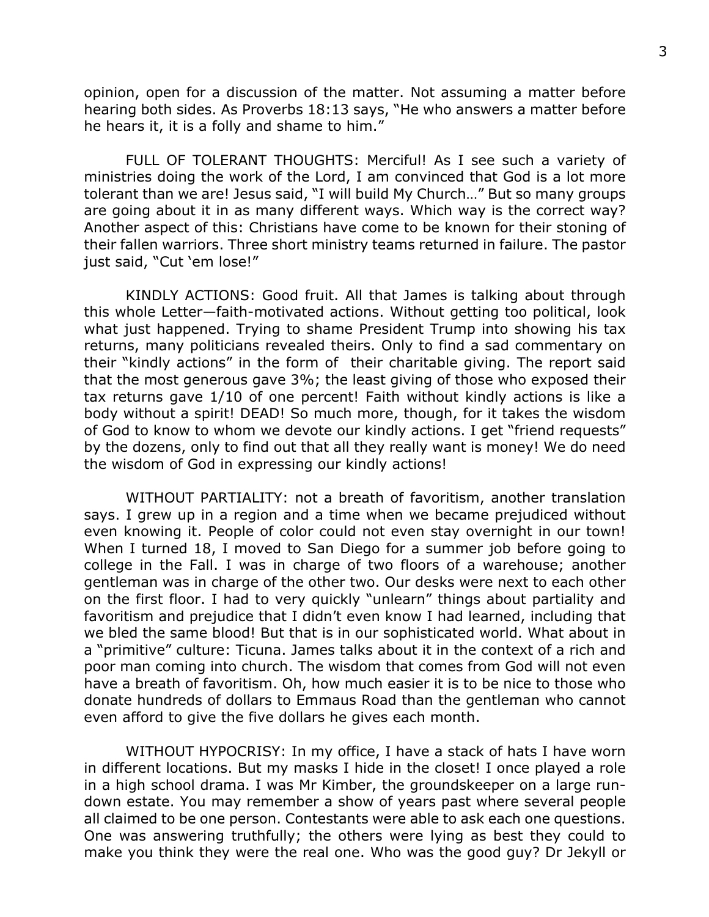opinion, open for a discussion of the matter. Not assuming a matter before hearing both sides. As Proverbs 18:13 says, "He who answers a matter before he hears it, it is a folly and shame to him."

FULL OF TOLERANT THOUGHTS: Merciful! As I see such a variety of ministries doing the work of the Lord, I am convinced that God is a lot more tolerant than we are! Jesus said, "I will build My Church…" But so many groups are going about it in as many different ways. Which way is the correct way? Another aspect of this: Christians have come to be known for their stoning of their fallen warriors. Three short ministry teams returned in failure. The pastor just said, "Cut 'em lose!"

KINDLY ACTIONS: Good fruit. All that James is talking about through this whole Letter—faith-motivated actions. Without getting too political, look what just happened. Trying to shame President Trump into showing his tax returns, many politicians revealed theirs. Only to find a sad commentary on their "kindly actions" in the form of their charitable giving. The report said that the most generous gave 3%; the least giving of those who exposed their tax returns gave 1/10 of one percent! Faith without kindly actions is like a body without a spirit! DEAD! So much more, though, for it takes the wisdom of God to know to whom we devote our kindly actions. I get "friend requests" by the dozens, only to find out that all they really want is money! We do need the wisdom of God in expressing our kindly actions!

WITHOUT PARTIALITY: not a breath of favoritism, another translation says. I grew up in a region and a time when we became prejudiced without even knowing it. People of color could not even stay overnight in our town! When I turned 18, I moved to San Diego for a summer job before going to college in the Fall. I was in charge of two floors of a warehouse; another gentleman was in charge of the other two. Our desks were next to each other on the first floor. I had to very quickly "unlearn" things about partiality and favoritism and prejudice that I didn't even know I had learned, including that we bled the same blood! But that is in our sophisticated world. What about in a "primitive" culture: Ticuna. James talks about it in the context of a rich and poor man coming into church. The wisdom that comes from God will not even have a breath of favoritism. Oh, how much easier it is to be nice to those who donate hundreds of dollars to Emmaus Road than the gentleman who cannot even afford to give the five dollars he gives each month.

WITHOUT HYPOCRISY: In my office, I have a stack of hats I have worn in different locations. But my masks I hide in the closet! I once played a role in a high school drama. I was Mr Kimber, the groundskeeper on a large rundown estate. You may remember a show of years past where several people all claimed to be one person. Contestants were able to ask each one questions. One was answering truthfully; the others were lying as best they could to make you think they were the real one. Who was the good guy? Dr Jekyll or